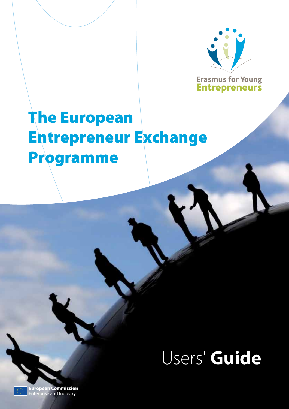

**Erasmus for Young Entrepreneurs** 

# The European Entrepreneur Exchange Programme

Users' **Guide**

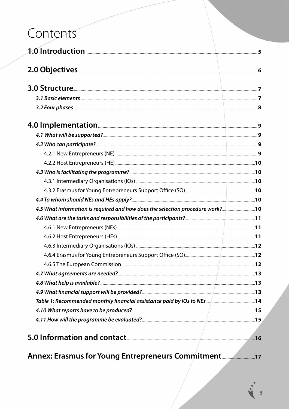## Contents

| 4.5 What information is required and how does the selection procedure work? |  |
|-----------------------------------------------------------------------------|--|
|                                                                             |  |
|                                                                             |  |
|                                                                             |  |
|                                                                             |  |
|                                                                             |  |
|                                                                             |  |
|                                                                             |  |
|                                                                             |  |
|                                                                             |  |
|                                                                             |  |
|                                                                             |  |
|                                                                             |  |
|                                                                             |  |
| Annex: Erasmus for Young Entrepreneurs Commitment                           |  |

3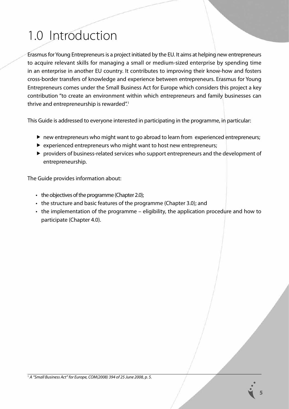## 1.0 Introduction

Erasmus for Young Entrepreneurs is a project initiated by the EU. It aims at helping new entrepreneurs to acquire relevant skills for managing a small or medium-sized enterprise by spending time in an enterprise in another EU country. It contributes to improving their know-how and fosters cross-border transfers of knowledge and experience between entrepreneurs. Erasmus for Young Entrepreneurs comes under the Small Business Act for Europe which considers this project a key contribution "to create an environment within which entrepreneurs and family businesses can thrive and entrepreneurship is rewarded".<sup>1</sup>

This Guide is addressed to everyone interested in participating in the programme, in particular:

- ▶ new entrepreneurs who might want to go abroad to learn from experienced entrepreneurs;
- $\triangleright$  experienced entrepreneurs who might want to host new entrepreneurs;
- providers of business-related services who support entrepreneurs and the development of entrepreneurship.

The Guide provides information about:

- $\cdot$  the objectives of the programme (Chapter 2.0);
- the structure and basic features of the programme (Chapter 3.0); and
- $\cdot$  the implementation of the programme eligibility, the application procedure and how to participate (Chapter 4.0).

<sup>1</sup> *A "Small Business Act" for Europe, COM(2008) 394 of 25 June 2008, p. 5.*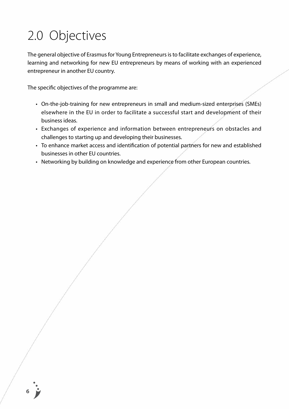## 2.0 Objectives

The general objective of Erasmus for Young Entrepreneurs is to facilitate exchanges of experience, learning and networking for new EU entrepreneurs by means of working with an experienced entrepreneur in another EU country.

The specific objectives of the programme are:

- On-the-job-training for new entrepreneurs in small and medium-sized enterprises (SMEs) elsewhere in the EU in order to facilitate a successful start and development of their business ideas.
- Exchanges of experience and information between entrepreneurs on obstacles and challenges to starting up and developing their businesses.
- To enhance market access and identification of potential partners for new and established businesses in other EU countries.
- Networking by building on knowledge and experience from other European countries.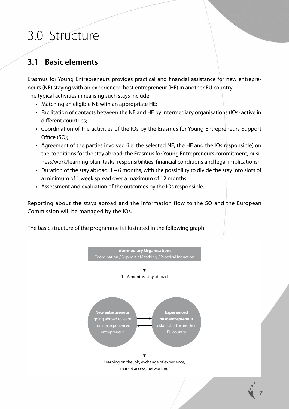## 3.0 Structure

## **3.1 Basic elements**

Erasmus for Young Entrepreneurs provides practical and financial assistance for new entrepreneurs (NE) staying with an experienced host entrepreneur (HE) in another EU country. The typical activities in realising such stays include:

- Matching an eligible NE with an appropriate HE;
- Facilitation of contacts between the NE and HE by intermediary organisations (IOs) active in different countries;
- Coordination of the activities of the IOs by the Erasmus for Young Entrepreneurs Support Office (SO);
- Agreement of the parties involved (i.e. the selected NE, the HE and the IOs responsible) on the conditions for the stay abroad: the Erasmus for Young Entrepreneurs commitment, business/work/learning plan, tasks, responsibilities, financial conditions and legal implications;
- Duration of the stay abroad:  $1 6$  months, with the possibility to divide the stay into slots of a minimum of 1 week spread over a maximum of 12 months.
- Assessment and evaluation of the outcomes by the IOs responsible.

Reporting about the stays abroad and the information flow to the SO and the European Commission will be managed by the IOs.

The basic structure of the programme is illustrated in the following graph:

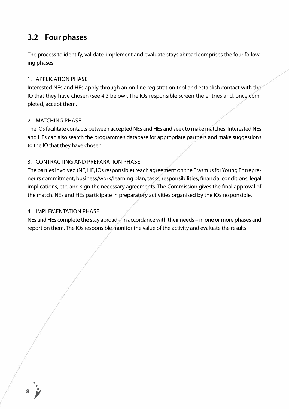### **3.2 Four phases**

The process to identify, validate, implement and evaluate stays abroad comprises the four following phases:

#### 1. Application phase

Interested NEs and HEs apply through an on-line registration tool and establish contact with the IO that they have chosen (see 4.3 below). The IOs responsible screen the entries and, once completed, accept them.

#### 2. MATCHING PHASE

The IOs facilitate contacts between accepted NEs and HEs and seek to make matches. Interested NEs and HEs can also search the programme's database for appropriate partners and make suggestions to the IO that they have chosen.

#### 3. CONTRACTING AND PREPARATION PHASE

The parties involved (NE, HE, IOs responsible) reach agreement on the Erasmus for Young Entrepreneurs commitment, business/work/learning plan, tasks, responsibilities, financial conditions, legal implications, etc. and sign the necessary agreements. The Commission gives the final approval of the match. NEs and HEs participate in preparatory activities organised by the IOs responsible.

#### 4. IMPI EMENTATION PHASE

NEs and HEs complete the stay abroad  $\neq$  in accordance with their needs – in one or more phases and report on them. The IOs responsible monitor the value of the activity and evaluate the results.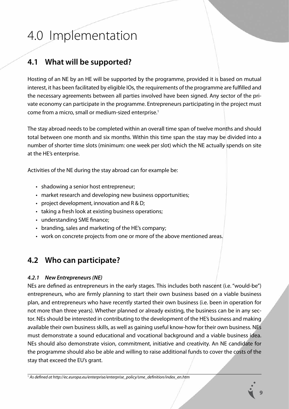## 4.0 Implementation

## **4.1 What will be supported?**

Hosting of an NE by an HE will be supported by the programme, provided it is based on mutual interest, it has been facilitated by eligible IOs, the requirements of the programme are fulfilled and the necessary agreements between all parties involved have been signed. Any sector of the private economy can participate in the programme. Entrepreneurs participating in the project must come from a micro, small or medium-sized enterprise.<sup>1</sup>

The stay abroad needs to be completed within an overall time span of twelve months and should total between one month and six months. Within this time span the stay may be divided into a number of shorter time slots (minimum: one week per slot) which the NE actually spends on site at the HE's enterprise.

Activities of the NE during the stay abroad can for example be:

- shadowing a senior host entrepreneur;
- market research and developing new business opportunities;
- project development, innovation and  $R & D$ ;
- taking a fresh look at existing business operations;
- understanding SME finance;
- branding, sales and marketing of the HE's company;
- work on concrete projects from one or more of the above mentioned areas.

## **4.2 Who can participate?**

#### *4.2.1 New Entrepreneurs (NE)*

NEs are defined as entrepreneurs in the early stages. This includes both nascent (i.e. "would-be") entrepreneurs, who are firmly planning to start their own business based on a viable business plan, and entrepreneurs who have recently started their own business (i.e. been in operation for not more than three years). Whether planned or already existing, the business can be in any sector. NEs should be interested in contributing to the development of the HE's business and making available their own business skills, as well as gaining useful know-how for their own business. NEs must demonstrate a sound educational and vocational background and a viable business idea. NEs should also demonstrate vision, commitment, initiative and creativity. An NE candidate for the programme should also be able and willing to raise additional funds to cover the costs of the stay that exceed the EU's grant.

<sup>1</sup> *As defined at http://ec.europa.eu/enterprise/enterprise\_policy/sme\_definition/index\_en.htm*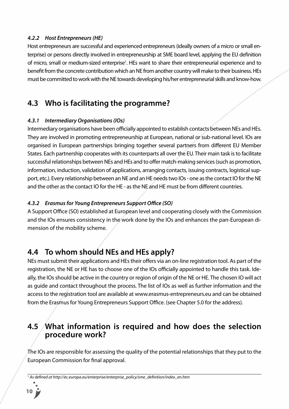#### *4.2.2 Host Entrepreneurs (HE)*

Host entrepreneurs are successful and experienced entrepreneurs (ideally owners of a micro or small enterprise) or persons directly involved in entrepreneurship at SME board level, applying the EU definition of micro, small or medium-sized enterprise<sup>1</sup>. HEs want to share their entrepreneurial experience and to benefit from the concrete contribution which an NE from another country will make to their business. HEs must be committed to work with the NE towards developing his/her entrepreneurial skills and know-how.

### **4.3 Who is facilitating the programme?**

#### *4.3.1 Intermediary Organisations (IOs)*

Intermediary organisations have been officially appointed to establish contacts between NEs and HEs. They are involved in promoting entrepreneurship at European, national or sub-national level. IOs are organised in European partnerships bringing together several partners from different EU Member States. Each partnership cooperates with its counterparts all over the EU. Their main task is to facilitate successful relationships between NEs and HEs and to offer match-making services (such as promotion, information, induction, validation of applications, arranging contacts, issuing contracts, logistical support, etc.). Every relationship between an NE and an HE needs two IOs - one as the contact IO for the NE and the other as the contact IO for the HE - as the NE and HE must be from different countries.

#### *4.3.2 Erasmus for Young Entrepreneurs Support Office (SO)*

A Support Office (SO) established at European level and cooperating closely with the Commission and the IOs ensures consistency in the work done by the IOs and enhances the pan-European dimension of the mobility scheme.

### **4.4 To whom should NEs and HEs apply?**

NEs must submit their applications and HEs their offers via an on-line registration tool. As part of the registration, the NE or HE has to choose one of the IOs officially appointed to handle this task. Ideally, the IOs should be active in the country or region of origin of the NE or HE. The chosen IO will act as guide and contact throughout the process. The list of IOs as well as further information and the access to the registration tool are available at www.erasmus-entrepreneurs.eu and can be obtained from the Erasmus for Young Entrepreneurs Support Office. (see Chapter 5.0 for the address).

### **4.5 What information is required and how does the selection procedure work?**

The IOs are responsible for assessing the quality of the potential relationships that they put to the European Commission for final approval.

<sup>1</sup> *As defined at http://ec.europa.eu/enterprise/enterprise\_policy/sme\_definition/index\_en.htm*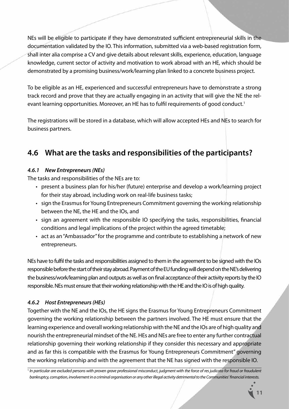NEs will be eligible to participate if they have demonstrated sufficient entrepreneurial skills in the documentation validated by the IO. This information, submitted via a web-based registration form, shall inter alia comprise a CV and give details about relevant skills, experience, education, language knowledge, current sector of activity and motivation to work abroad with an HE, which should be demonstrated by a promising business/work/learning plan linked to a concrete business project.

To be eligible as an HE, experienced and successful entrepreneurs have to demonstrate a strong track record and prove that they are actually engaging in an activity that will give the NE the relevant learning opportunities. Moreover, an HE has to fulfil requirements of good conduct.<sup>1</sup>

The registrations will be stored in a database, which will allow accepted HEs and NEs to search for business partners.

## **4.6 What are the tasks and responsibilities of the participants?**

#### *4.6.1 New Entrepreneurs (NEs)*

The tasks and responsibilities of the NEs are to:

- present a business plan for his/her (future) enterprise and develop a work/learning project for their stay abroad, including work on real-life business tasks;
- sign the Erasmus for Young Entrepreneurs Commitment governing the working relationship between the NE, the HE and the IOs, and
- sign an agreement with the responsible IO specifying the tasks, responsibilities, financial conditions and legal implications of the project within the agreed timetable;
- act as an "Ambassador" for the programme and contribute to establishing a network of new entrepreneurs.

NEs have to fulfil the tasks and responsibilities assigned to them in the agreement to be signed with the IOs responsible before the start of their stay abroad. Payment of the EU funding will depend on the NE's delivering the business/work/learning plan and outputs as well as on final acceptance of their activity reports by the IO responsible. NEs must ensure that their working relationship with the HE and the IO is of high quality.

#### *4.6.2 Host Entrepreneurs (HEs)*

Together with the NE and the IOs, the HE signs the Erasmus for Young Entrepreneurs Commitment governing the working relationship between the partners involved. The HE must ensure that the learning experience and overall working relationship with the NE and the IOs are of high quality and nourish the entrepreneurial mindset of the NE. HEs and NEs are free to enter any further contractual relationship governing their working relationship if they consider this necessary and appropriate and as far this is compatible with the Erasmus for Young Entrepreneurs Commitment" governing the working relationship and with the agreement that the NE has signed with the responsible IO.

<sup>1</sup> *In particular are excluded persons with proven grave professional misconduct, judgment with the force of res judicata for fraud or fraudulent bankruptcy, corruption, involvement in a criminal organisation or any other illegal activity detrimental to the Communities' financial interests.*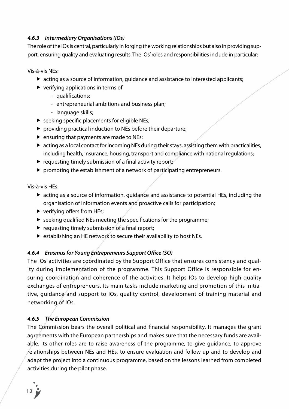#### *4.6.3 Intermediary Organisations (IOs)*

The role of the IOs is central, particularly in forging the working relationships but also in providing support, ensuring quality and evaluating results. The IOs' roles and responsibilities include in particular:

Vis-à-vis NEs:

- acting as a source of information, guidance and assistance to interested applicants;
- $\blacktriangleright$  verifying applications in terms of
	- qualifications;
	- entrepreneurial ambitions and business plan;
	- language skills;
- $\triangleright$  seeking specific placements for eligible NEs;
- ▶ providing practical induction to NEs before their departure;
- $\triangleright$  ensuring that payments are made to NEs;
- acting as a local contact for incoming NEs during their stays, assisting them with practicalities, including health, insurance, housing, transport and compliance with national regulations;
- requesting timely submission of a final activity report;
- $\blacktriangleright$  promoting the establishment of a network of participating entrepreneurs.

Vis-à-vis HEs:

- acting as a source of information, guidance and assistance to potential HEs, including the organisation of information events and proactive calls for participation;
- verifying offers from HEs;
- $\blacktriangleright$  seeking qualified NEs meeting the specifications for the programme;
- $\blacktriangleright$  requesting timely submission of a final report;
- $\triangleright$  establishing an HE network to secure their availability to host NEs.

#### *4.6.4 Erasmus for Young Entrepreneurs Support Office (SO)*

The IOs' activities are coordinated by the Support Office that ensures consistency and quality during implementation of the programme. This Support Office is responsible for ensuring coordination and coherence of the activities. It helps IOs to develop high quality exchanges of entrepreneurs. Its main tasks include marketing and promotion of this initiative, guidance and support to IOs, quality control, development of training material and networking of IOs.

#### *4.6.5 The European Commission*

The Commission bears the overall political and financial responsibility. It manages the grant agreements with the European partnerships and makes sure that the necessary funds are available. Its other roles are to raise awareness of the programme, to give guidance, to approve relationships between NEs and HEs, to ensure evaluation and follow-up and to develop and adapt the project into a continuous programme, based on the lessons learned from completed activities during the pilot phase.

**12**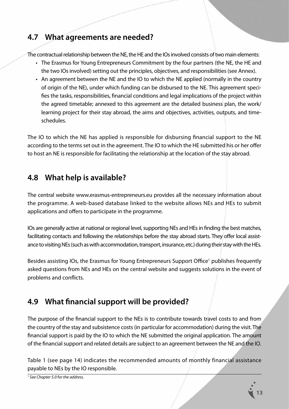## **4.7 What agreements are needed?**

The contractual relationship between the NE, the HE and the IOs involved consists of two main elements:

- The Erasmus for Young Entrepreneurs Commitment by the four partners (the NE, the HE and the two IOs involved) setting out the principles, objectives, and responsibilities (see Annex).
- An agreement between the NE and the IO to which the NE applied (normally in the country of origin of the NE), under which funding can be disbursed to the NE. This agreement specifies the tasks, responsibilities, financial conditions and legal implications of the project within the agreed timetable; annexed to this agreement are the detailed business plan, the work/ learning project for their stay abroad, the aims and objectives, activities, outputs, and timeschedules.

The IO to which the NE has applied is responsible for disbursing financial support to the NE according to the terms set out in the agreement. The IO to which the HE submitted his or her offer to host an NE is responsible for facilitating the relationship at the location of the stay abroad.

## **4.8 What help is available?**

The central website www.erasmus-entrepreneurs.eu provides all the necessary information about the programme. A web-based database linked to the website allows NEs and HEs to submit applications and offers to participate in the programme.

IOs are generally active at national or regional level, supporting NEs and HEs in finding the best matches, facilitating contacts and following the relationships before the stay abroad starts. They offer local assistance to visiting NEs (such as with accommodation, transport, insurance, etc.) during their stay with the HEs.

Besides assisting IOs, the Erasmus for Young Entrepreneurs Support Office<sup>1</sup> publishes frequently asked questions from NEs and HEs on the central website and suggests solutions in the event of problems and conflicts.

## **4.9 What financial support will be provided?**

The purpose of the financial support to the NEs is to contribute towards travel costs to and from the country of the stay and subsistence costs (in particular for accommodation) during the visit. The financial support is paid by the IO to which the NE submitted the original application. The amount of the financial support and related details are subject to an agreement between the NE and the IO.

Table 1 (see page 14) indicates the recommended amounts of monthly financial assistance payable to NEs by the IO responsible.



<sup>1</sup> *See Chapter 5.0 for the address.*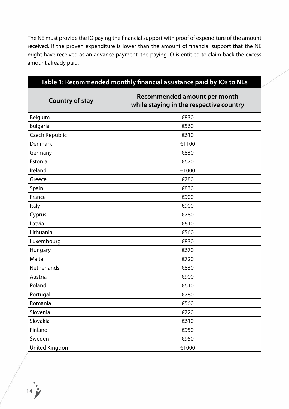The NE must provide the IO paying the financial support with proof of expenditure of the amount received. If the proven expenditure is lower than the amount of financial support that the NE might have received as an advance payment, the paying IO is entitled to claim back the excess amount already paid.

| Table 1: Recommended monthly financial assistance paid by IOs to NEs |                                                                         |  |
|----------------------------------------------------------------------|-------------------------------------------------------------------------|--|
| <b>Country of stay</b>                                               | Recommended amount per month<br>while staying in the respective country |  |
| Belgium                                                              | €830                                                                    |  |
| <b>Bulgaria</b>                                                      | €560                                                                    |  |
| <b>Czech Republic</b>                                                | €610                                                                    |  |
| Denmark                                                              | €1100                                                                   |  |
| Germany                                                              | €830                                                                    |  |
| Estonia                                                              | €670                                                                    |  |
| Ireland                                                              | €1000                                                                   |  |
| Greece                                                               | €780                                                                    |  |
| Spain                                                                | €830                                                                    |  |
| France                                                               | €900                                                                    |  |
| <b>Italy</b>                                                         | €900                                                                    |  |
| Cyprus                                                               | €780                                                                    |  |
| Latvia                                                               | €610                                                                    |  |
| Lithuania                                                            | €560                                                                    |  |
| Luxembourg                                                           | €830                                                                    |  |
| Hungary                                                              | €670                                                                    |  |
| Malta                                                                | €720                                                                    |  |
| <b>Netherlands</b>                                                   | €830                                                                    |  |
| Austria                                                              | €900                                                                    |  |
| Poland                                                               | €610                                                                    |  |
| Portugal                                                             | €780                                                                    |  |
| Romania                                                              | €560                                                                    |  |
| Slovenia                                                             | €720                                                                    |  |
| Slovakia                                                             | €610                                                                    |  |
| Finland                                                              | €950                                                                    |  |
| Sweden                                                               | €950                                                                    |  |
| United Kingdom                                                       | €1000                                                                   |  |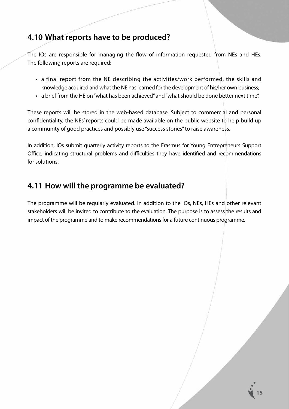### **4.10 What reports have to be produced?**

The IOs are responsible for managing the flow of information requested from NEs and HEs. The following reports are required:

- a final report from the NE describing the activities/work performed, the skills and knowledge acquired and what the NE has learned for the development of his/her own business;
- a brief from the HE on "what has been achieved" and "what should be done better next time".

These reports will be stored in the web-based database. Subject to commercial and personal confidentiality, the NEs' reports could be made available on the public website to help build up a community of good practices and possibly use "success stories" to raise awareness.

In addition, IOs submit quarterly activity reports to the Erasmus for Young Entrepreneurs Support Office, indicating structural problems and difficulties they have identified and recommendations for solutions.

### **4.11 How will the programme be evaluated?**

The programme will be regularly evaluated. In addition to the IOs, NEs, HEs and other relevant stakeholders will be invited to contribute to the evaluation. The purpose is to assess the results and impact of the programme and to make recommendations for a future continuous programme.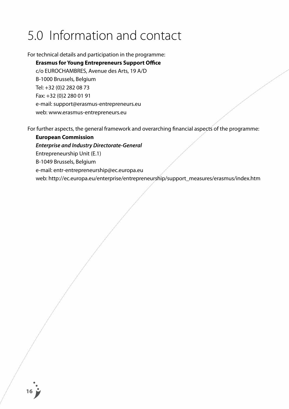## 5.0 Information and contact

For technical details and participation in the programme:

#### **Erasmus for Young Entrepreneurs Support Office**

 c/o EUROCHAMBRES, Avenue des Arts, 19 A/D B-1000 Brussels, Belgium Tel: +32 (0)2 282 08 73 Fax: +32 (0)2 280 01 91 e-mail: support@erasmus-entrepreneurs.eu web: www.erasmus-entrepreneurs.eu

For further aspects, the general framework and overarching financial aspects of the programme:

#### **European Commission**

*Enterprise and Industry Directorate-General*

Entrepreneurship Unit (E.1)

 B-1049 Brussels, Belgium

e-mail: entr-entrepreneurship@ec.europa.eu

web: http://ec.europa.eu/enterprise/entrepreneurship/support\_measures/erasmus/index.htm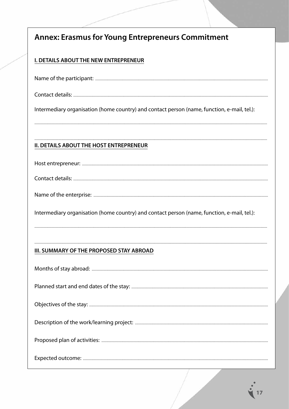| <b>Annex: Erasmus for Young Entrepreneurs Commitment</b>                                    |
|---------------------------------------------------------------------------------------------|
| <b>I. DETAILS ABOUT THE NEW ENTREPRENEUR</b>                                                |
|                                                                                             |
|                                                                                             |
| Intermediary organisation (home country) and contact person (name, function, e-mail, tel.): |
| <b>II. DETAILS ABOUT THE HOST ENTREPRENEUR</b>                                              |
|                                                                                             |
|                                                                                             |
|                                                                                             |
| Intermediary organisation (home country) and contact person (name, function, e-mail, tel.): |
|                                                                                             |
| III. SUMMARY OF THE PROPOSED STAY ABROAD                                                    |
|                                                                                             |
|                                                                                             |
|                                                                                             |
|                                                                                             |
|                                                                                             |
|                                                                                             |

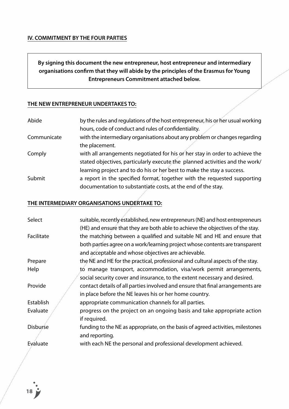#### **IV. COMMITMENT BY THE FOUR PARTIES**

**By signing this document the new entrepreneur, host entrepreneur and intermediary organisations confirm that they will abide by the principles of the Erasmus for Young Entrepreneurs Commitment attached below.**

#### **THE NEW ENTREPRENEUR UNDERTAKES TO:**

| Abide       | by the rules and regulations of the host entrepreneur, his or her usual working |
|-------------|---------------------------------------------------------------------------------|
|             | hours, code of conduct and rules of confidentiality.                            |
| Communicate | with the intermediary organisations about any problem or changes regarding      |
|             | the placement.                                                                  |
| Comply      | with all arrangements negotiated for his or her stay in order to achieve the    |
|             | stated objectives, particularly execute the planned activities and the work/    |
|             | learning project and to do his or her best to make the stay a success.          |
| Submit      | a report in the specified format, together with the requested supporting        |
|             | documentation to substantiate costs, at the end of the stay.                    |

#### **THE INTERMEDIARY ORGANISATIONS UNDERTAKE TO:**

| Select          | suitable, recently established, new entrepreneurs (NE) and host entrepreneurs   |
|-----------------|---------------------------------------------------------------------------------|
|                 | (HE) and ensure that they are both able to achieve the objectives of the stay.  |
| Facilitate      | the matching between a qualified and suitable NE and HE and ensure that         |
|                 | both parties agree on a work/learning project whose contents are transparent    |
|                 | and acceptable and whose objectives are achievable.                             |
| Prepare         | the NE and HE for the practical, professional and cultural aspects of the stay. |
| Help            | to manage transport, accommodation, visa/work permit arrangements,              |
|                 | social security cover and insurance, to the extent necessary and desired.       |
| Provide         | contact details of all parties involved and ensure that final arrangements are  |
|                 | in place before the NE leaves his or her home country.                          |
| Establish       | appropriate communication channels for all parties.                             |
| Evaluate        | progress on the project on an ongoing basis and take appropriate action         |
|                 | if required.                                                                    |
| <b>Disburse</b> | funding to the NE as appropriate, on the basis of agreed activities, milestones |
|                 | and reporting.                                                                  |
| Evaluate        | with each NE the personal and professional development achieved.                |
|                 |                                                                                 |

**18**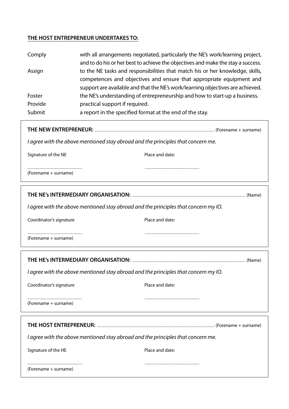#### **THE HOST ENTREPRENEUR UNDERTAKES TO:**

| Comply  | with all arrangements negotiated, particularly the NE's work/learning project,   |
|---------|----------------------------------------------------------------------------------|
|         | and to do his or her best to achieve the objectives and make the stay a success. |
| Assign  | to the NE tasks and responsibilities that match his or her knowledge, skills,    |
|         | competences and objectives and ensure that appropriate equipment and             |
|         | support are available and that the NE's work/learning objectives are achieved.   |
| Foster  | the NE's understanding of entrepreneurship and how to start-up a business.       |
| Provide | practical support if required.                                                   |
| Submit  | a report in the specified format at the end of the stay.                         |

#### **THE NEW ENTREPRENEUR:** ........................................................................................................................................ (Forename + surname)

*I agree with the above mentioned stay abroad and the principles that concern me.*

Signature of the NE **Place and date:** 

.............................................................. ..............................................................

.............................................................. ..............................................................

(Forename + surname) 

**THE NE's INTERMEDIARY ORGANISATION:** ................................................................................................................................ (Name)

*I agree with the above mentioned stay abroad and the principles that concern my IO.* 

Coordinator's signature **Place and date:** 

(Forename + surname)

(Forename + surname) 

**THE HE's INTERMEDIARY ORGANISATION:** ................................................................................................................................ (Name) *I agree with the above mentioned stay abroad and the principles that concern my IO.*  Coordinator's signature **Place and date:** .............................................................. .............................................................. (Forename + surname) **THE HOST ENTREPRENEUR:** ..................................................................................................................................... (Forename + surname) *I agree with the above mentioned stay abroad and the principles that concern me.* Signature of the HE **Place and date:** .............................................................. ..............................................................